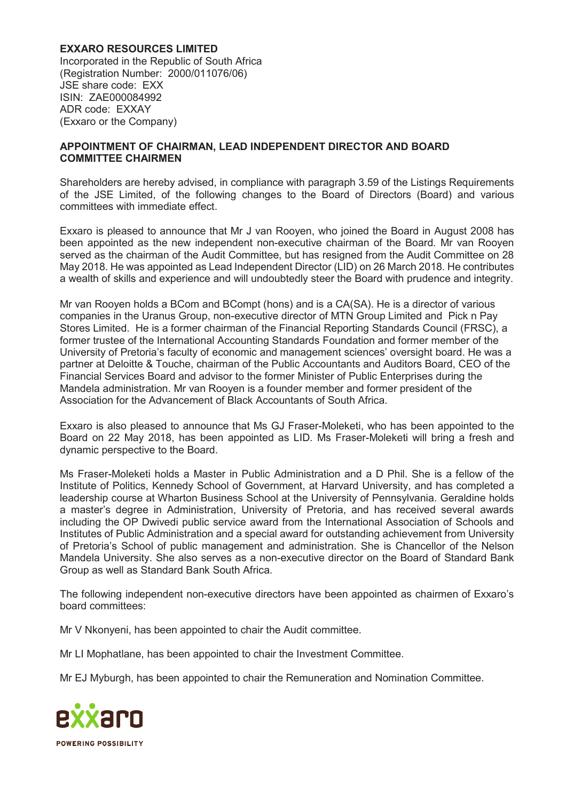## **EXXARO RESOURCES LIMITED**

Incorporated in the Republic of South Africa (Registration Number: 2000/011076/06) JSE share code: EXX ISIN: ZAE000084992 ADR code: EXXAY (Exxaro or the Company)

## **APPOINTMENT OF CHAIRMAN, LEAD INDEPENDENT DIRECTOR AND BOARD COMMITTEE CHAIRMEN**

Shareholders are hereby advised, in compliance with paragraph 3.59 of the Listings Requirements of the JSE Limited, of the following changes to the Board of Directors (Board) and various committees with immediate effect.

Exxaro is pleased to announce that Mr J van Rooyen, who joined the Board in August 2008 has been appointed as the new independent non-executive chairman of the Board. Mr van Rooyen served as the chairman of the Audit Committee, but has resigned from the Audit Committee on 28 May 2018. He was appointed as Lead Independent Director (LID) on 26 March 2018. He contributes a wealth of skills and experience and will undoubtedly steer the Board with prudence and integrity.

Mr van Rooyen holds a BCom and BCompt (hons) and is a CA(SA). He is a director of various companies in the Uranus Group, non-executive director of MTN Group Limited and Pick n Pay Stores Limited. He is a former chairman of the Financial Reporting Standards Council (FRSC), a former trustee of the International Accounting Standards Foundation and former member of the University of Pretoria's faculty of economic and management sciences' oversight board. He was a partner at Deloitte & Touche, chairman of the Public Accountants and Auditors Board, CEO of the Financial Services Board and advisor to the former Minister of Public Enterprises during the Mandela administration. Mr van Rooyen is a founder member and former president of the Association for the Advancement of Black Accountants of South Africa.

Exxaro is also pleased to announce that Ms GJ Fraser-Moleketi, who has been appointed to the Board on 22 May 2018, has been appointed as LID. Ms Fraser-Moleketi will bring a fresh and dynamic perspective to the Board.

Ms Fraser-Moleketi holds a Master in Public Administration and a D Phil. She is a fellow of the Institute of Politics, Kennedy School of Government, at Harvard University, and has completed a leadership course at Wharton Business School at the University of Pennsylvania. Geraldine holds a master's degree in Administration, University of Pretoria, and has received several awards including the OP Dwivedi public service award from the International Association of Schools and Institutes of Public Administration and a special award for outstanding achievement from University of Pretoria's School of public management and administration. She is Chancellor of the Nelson Mandela University. She also serves as a non-executive director on the Board of Standard Bank Group as well as Standard Bank South Africa.

The following independent non-executive directors have been appointed as chairmen of Exxaro's board committees:

Mr V Nkonyeni, has been appointed to chair the Audit committee.

Mr LI Mophatlane, has been appointed to chair the Investment Committee.

Mr EJ Myburgh, has been appointed to chair the Remuneration and Nomination Committee.